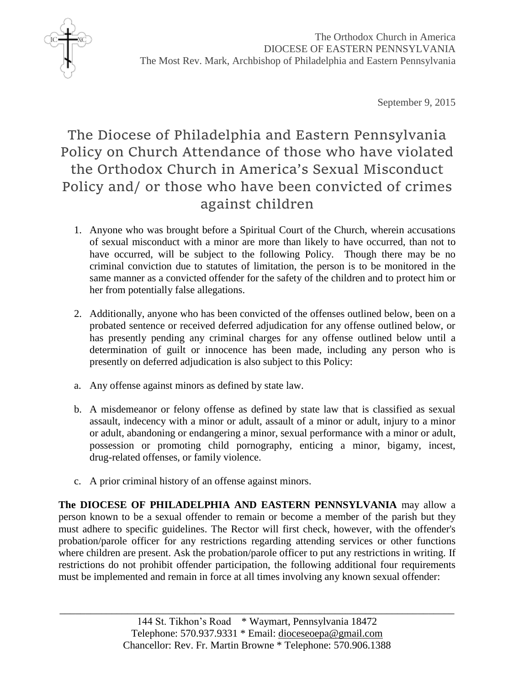

September 9, 2015

## The Diocese of Philadelphia and Eastern Pennsylvania Policy on Church Attendance of those who have violated the Orthodox Church in America's Sexual Misconduct Policy and/ or those who have been convicted of crimes against children

- 1. Anyone who was brought before a Spiritual Court of the Church, wherein accusations of sexual misconduct with a minor are more than likely to have occurred, than not to have occurred, will be subject to the following Policy. Though there may be no criminal conviction due to statutes of limitation, the person is to be monitored in the same manner as a convicted offender for the safety of the children and to protect him or her from potentially false allegations.
- 2. Additionally, anyone who has been convicted of the offenses outlined below, been on a probated sentence or received deferred adjudication for any offense outlined below, or has presently pending any criminal charges for any offense outlined below until a determination of guilt or innocence has been made, including any person who is presently on deferred adjudication is also subject to this Policy:
- a. Any offense against minors as defined by state law.
- b. A misdemeanor or felony offense as defined by state law that is classified as sexual assault, indecency with a minor or adult, assault of a minor or adult, injury to a minor or adult, abandoning or endangering a minor, sexual performance with a minor or adult, possession or promoting child pornography, enticing a minor, bigamy, incest, drug-related offenses, or family violence.
- c. A prior criminal history of an offense against minors.

**The DIOCESE OF PHILADELPHIA AND EASTERN PENNSYLVANIA** may allow a person known to be a sexual offender to remain or become a member of the parish but they must adhere to specific guidelines. The Rector will first check, however, with the offender's probation/parole officer for any restrictions regarding attending services or other functions where children are present. Ask the probation/parole officer to put any restrictions in writing. If restrictions do not prohibit offender participation, the following additional four requirements must be implemented and remain in force at all times involving any known sexual offender: